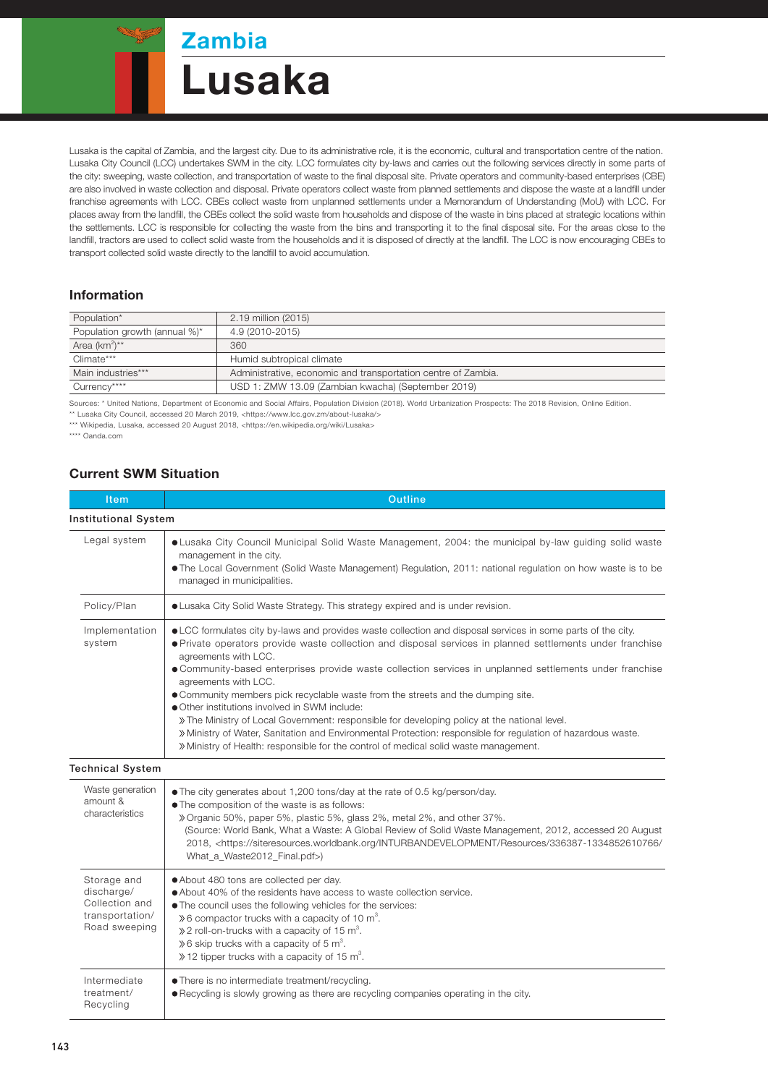# **Zambia** Lusaka

Lusaka is the capital of Zambia, and the largest city. Due to its administrative role, it is the economic, cultural and transportation centre of the nation. Lusaka City Council (LCC) undertakes SWM in the city. LCC formulates city by-laws and carries out the following services directly in some parts of the city: sweeping, waste collection, and transportation of waste to the final disposal site. Private operators and community-based enterprises (CBE) are also involved in waste collection and disposal. Private operators collect waste from planned settlements and dispose the waste at a landfill under franchise agreements with LCC. CBEs collect waste from unplanned settlements under a Memorandum of Understanding (MoU) with LCC. For places away from the landfill, the CBEs collect the solid waste from households and dispose of the waste in bins placed at strategic locations within the settlements. LCC is responsible for collecting the waste from the bins and transporting it to the final disposal site. For the areas close to the landfill, tractors are used to collect solid waste from the households and it is disposed of directly at the landfill. The LCC is now encouraging CBEs to transport collected solid waste directly to the landfill to avoid accumulation.

#### Information

| Population*                   | 2.19 million (2015)                                           |  |
|-------------------------------|---------------------------------------------------------------|--|
| Population growth (annual %)* | 4.9 (2010-2015)                                               |  |
| Area (km <sup>2</sup> )**     | 360                                                           |  |
| Climate***                    | Humid subtropical climate                                     |  |
| Main industries***            | Administrative, economic and transportation centre of Zambia. |  |
| Currency****                  | USD 1: ZMW 13.09 (Zambian kwacha) (September 2019)            |  |
|                               |                                                               |  |

Sources: \* United Nations, Department of Economic and Social Affairs, Population Division (2018). World Urbanization Prospects: The 2018 Revision, Online Edition.

\*\* Lusaka City Council, accessed 20 March 2019, <https://www.lcc.gov.zm/about-lusaka/> \*\*\* Wikipedia, Lusaka, accessed 20 August 2018, <https://en.wikipedia.org/wiki/Lusaka>

\*\*\*\* Oanda.com

#### Current SWM Situation

| Item                                                                            | <b>Outline</b>                                                                                                                                                                                                                                                                                                                                                                                                                                                                                                                                                                                                                                                                                                                                                                                                                     |  |  |
|---------------------------------------------------------------------------------|------------------------------------------------------------------------------------------------------------------------------------------------------------------------------------------------------------------------------------------------------------------------------------------------------------------------------------------------------------------------------------------------------------------------------------------------------------------------------------------------------------------------------------------------------------------------------------------------------------------------------------------------------------------------------------------------------------------------------------------------------------------------------------------------------------------------------------|--|--|
| <b>Institutional System</b>                                                     |                                                                                                                                                                                                                                                                                                                                                                                                                                                                                                                                                                                                                                                                                                                                                                                                                                    |  |  |
| Legal system                                                                    | • Lusaka City Council Municipal Solid Waste Management, 2004: the municipal by-law guiding solid waste<br>management in the city.<br>. The Local Government (Solid Waste Management) Regulation, 2011: national regulation on how waste is to be<br>managed in municipalities.                                                                                                                                                                                                                                                                                                                                                                                                                                                                                                                                                     |  |  |
| Policy/Plan                                                                     | • Lusaka City Solid Waste Strategy. This strategy expired and is under revision.                                                                                                                                                                                                                                                                                                                                                                                                                                                                                                                                                                                                                                                                                                                                                   |  |  |
| Implementation<br>system                                                        | • LCC formulates city by-laws and provides waste collection and disposal services in some parts of the city.<br>• Private operators provide waste collection and disposal services in planned settlements under franchise<br>agreements with LCC.<br>• Community-based enterprises provide waste collection services in unplanned settlements under franchise<br>agreements with LCC.<br>· Community members pick recyclable waste from the streets and the dumping site.<br>• Other institutions involved in SWM include:<br>» The Ministry of Local Government: responsible for developing policy at the national level.<br>» Ministry of Water, Sanitation and Environmental Protection: responsible for regulation of hazardous waste.<br>» Ministry of Health: responsible for the control of medical solid waste management. |  |  |
| <b>Technical System</b>                                                         |                                                                                                                                                                                                                                                                                                                                                                                                                                                                                                                                                                                                                                                                                                                                                                                                                                    |  |  |
| Waste generation<br>amount &<br>characteristics                                 | • The city generates about 1,200 tons/day at the rate of 0.5 kg/person/day.<br>. The composition of the waste is as follows:<br>» Organic 50%, paper 5%, plastic 5%, glass 2%, metal 2%, and other 37%.<br>(Source: World Bank, What a Waste: A Global Review of Solid Waste Management, 2012, accessed 20 August<br>2018, <https: 336387-1334852610766="" <br="" inturbandevelopment="" resources="" siteresources.worldbank.org="">What_a_Waste2012_Final.pdf&gt;)</https:>                                                                                                                                                                                                                                                                                                                                                      |  |  |
| Storage and<br>discharge/<br>Collection and<br>transportation/<br>Road sweeping | • About 480 tons are collected per day.<br>• About 40% of the residents have access to waste collection service.<br>. The council uses the following vehicles for the services:<br>$\&$ 6 compactor trucks with a capacity of 10 m <sup>3</sup> .<br>$\gg$ 2 roll-on-trucks with a capacity of 15 m <sup>3</sup> .<br>$\&$ 6 skip trucks with a capacity of 5 m <sup>3</sup> .<br>$\gg$ 12 tipper trucks with a capacity of 15 m <sup>3</sup> .                                                                                                                                                                                                                                                                                                                                                                                    |  |  |
| Intermediate<br>treatment/<br>Recycling                                         | • There is no intermediate treatment/recycling.<br>• Recycling is slowly growing as there are recycling companies operating in the city.                                                                                                                                                                                                                                                                                                                                                                                                                                                                                                                                                                                                                                                                                           |  |  |